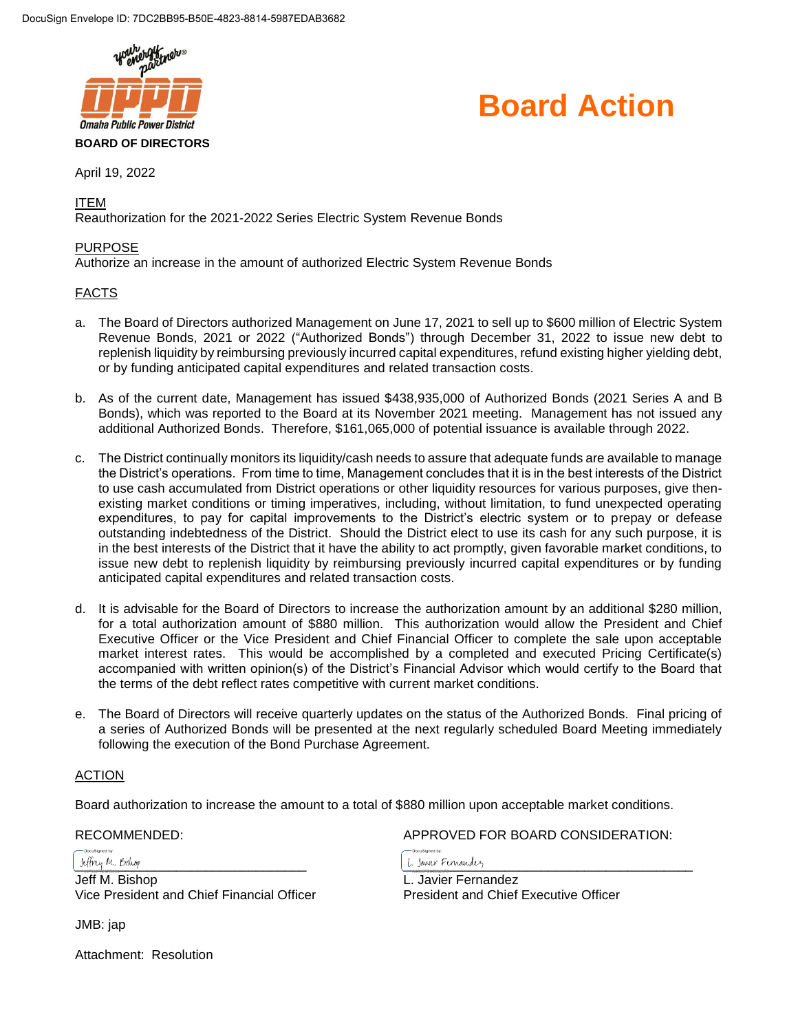



April 19, 2022

ITEM

Reauthorization for the 2021-2022 Series Electric System Revenue Bonds

#### PURPOSE

Authorize an increase in the amount of authorized Electric System Revenue Bonds

#### FACTS

- a. The Board of Directors authorized Management on June 17, 2021 to sell up to \$600 million of Electric System Revenue Bonds, 2021 or 2022 ("Authorized Bonds") through December 31, 2022 to issue new debt to replenish liquidity by reimbursing previously incurred capital expenditures, refund existing higher yielding debt, or by funding anticipated capital expenditures and related transaction costs.
- b. As of the current date, Management has issued \$438,935,000 of Authorized Bonds (2021 Series A and B Bonds), which was reported to the Board at its November 2021 meeting. Management has not issued any additional Authorized Bonds. Therefore, \$161,065,000 of potential issuance is available through 2022.
- c. The District continually monitors its liquidity/cash needs to assure that adequate funds are available to manage the District's operations. From time to time, Management concludes that it is in the best interests of the District to use cash accumulated from District operations or other liquidity resources for various purposes, give thenexisting market conditions or timing imperatives, including, without limitation, to fund unexpected operating expenditures, to pay for capital improvements to the District's electric system or to prepay or defease outstanding indebtedness of the District. Should the District elect to use its cash for any such purpose, it is in the best interests of the District that it have the ability to act promptly, given favorable market conditions, to issue new debt to replenish liquidity by reimbursing previously incurred capital expenditures or by funding anticipated capital expenditures and related transaction costs.
- d. It is advisable for the Board of Directors to increase the authorization amount by an additional \$280 million, for a total authorization amount of \$880 million. This authorization would allow the President and Chief Executive Officer or the Vice President and Chief Financial Officer to complete the sale upon acceptable market interest rates. This would be accomplished by a completed and executed Pricing Certificate(s) accompanied with written opinion(s) of the District's Financial Advisor which would certify to the Board that the terms of the debt reflect rates competitive with current market conditions.
- e. The Board of Directors will receive quarterly updates on the status of the Authorized Bonds. Final pricing of a series of Authorized Bonds will be presented at the next regularly scheduled Board Meeting immediately following the execution of the Bond Purchase Agreement.

#### ACTION

Board authorization to increase the amount to a total of \$880 million upon acceptable market conditions.

 $L$  three M. Bishop entity of the second contract the second contract of the second contract of the second contract of the second contract of the second contract of the second contract of the second contract of the second Jeff M. Bishop L. Javier Fernandez Vice President and Chief Financial Officer President and Chief Executive Officer

JMB: jap

Attachment: Resolution

RECOMMENDED: APPROVED FOR BOARD CONSIDERATION: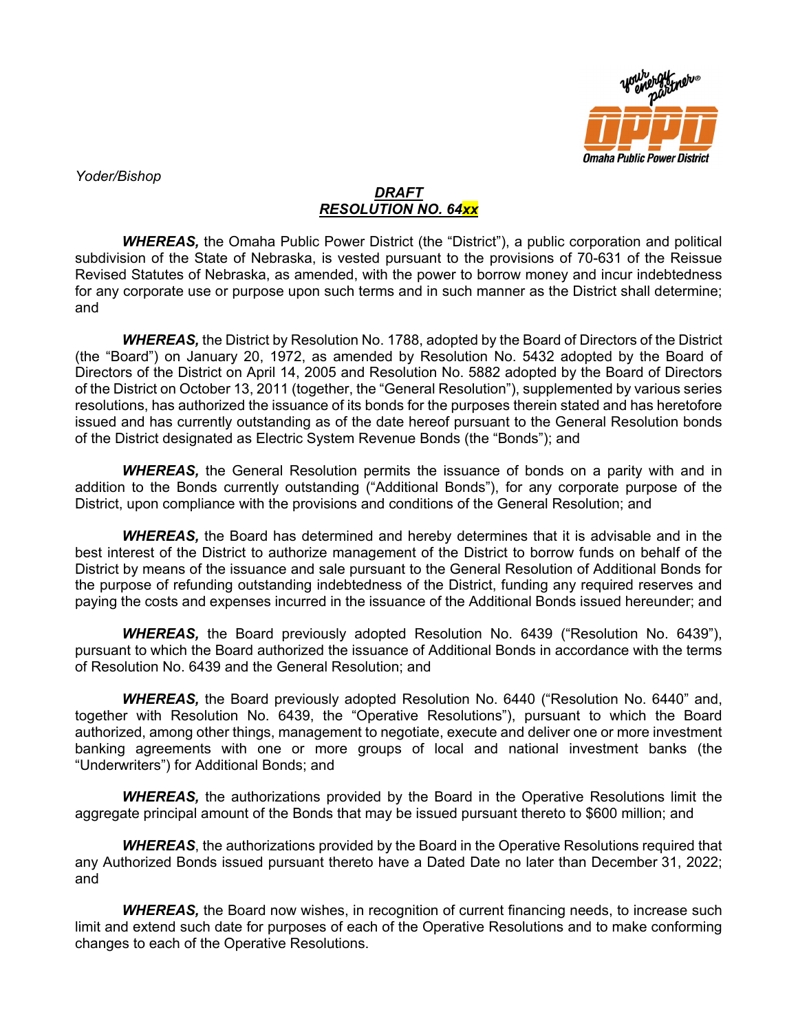

*Yoder/Bishop*

### *DRAFT RESOLUTION NO. 64xx*

**WHEREAS,** the Omaha Public Power District (the "District"), a public corporation and political subdivision of the State of Nebraska, is vested pursuant to the provisions of 70-631 of the Reissue Revised Statutes of Nebraska, as amended, with the power to borrow money and incur indebtedness for any corporate use or purpose upon such terms and in such manner as the District shall determine; and

*WHEREAS,* the District by Resolution No. 1788, adopted by the Board of Directors of the District (the "Board") on January 20, 1972, as amended by Resolution No. 5432 adopted by the Board of Directors of the District on April 14, 2005 and Resolution No. 5882 adopted by the Board of Directors of the District on October 13, 2011 (together, the "General Resolution"), supplemented by various series resolutions, has authorized the issuance of its bonds for the purposes therein stated and has heretofore issued and has currently outstanding as of the date hereof pursuant to the General Resolution bonds of the District designated as Electric System Revenue Bonds (the "Bonds"); and

*WHEREAS,* the General Resolution permits the issuance of bonds on a parity with and in addition to the Bonds currently outstanding ("Additional Bonds"), for any corporate purpose of the District, upon compliance with the provisions and conditions of the General Resolution; and

*WHEREAS,* the Board has determined and hereby determines that it is advisable and in the best interest of the District to authorize management of the District to borrow funds on behalf of the District by means of the issuance and sale pursuant to the General Resolution of Additional Bonds for the purpose of refunding outstanding indebtedness of the District, funding any required reserves and paying the costs and expenses incurred in the issuance of the Additional Bonds issued hereunder; and

*WHEREAS,* the Board previously adopted Resolution No. 6439 ("Resolution No. 6439"), pursuant to which the Board authorized the issuance of Additional Bonds in accordance with the terms of Resolution No. 6439 and the General Resolution; and

*WHEREAS,* the Board previously adopted Resolution No. 6440 ("Resolution No. 6440" and, together with Resolution No. 6439, the "Operative Resolutions"), pursuant to which the Board authorized, among other things, management to negotiate, execute and deliver one or more investment banking agreements with one or more groups of local and national investment banks (the "Underwriters") for Additional Bonds; and

*WHEREAS,* the authorizations provided by the Board in the Operative Resolutions limit the aggregate principal amount of the Bonds that may be issued pursuant thereto to \$600 million; and

*WHEREAS*, the authorizations provided by the Board in the Operative Resolutions required that any Authorized Bonds issued pursuant thereto have a Dated Date no later than December 31, 2022; and

**WHEREAS,** the Board now wishes, in recognition of current financing needs, to increase such limit and extend such date for purposes of each of the Operative Resolutions and to make conforming changes to each of the Operative Resolutions.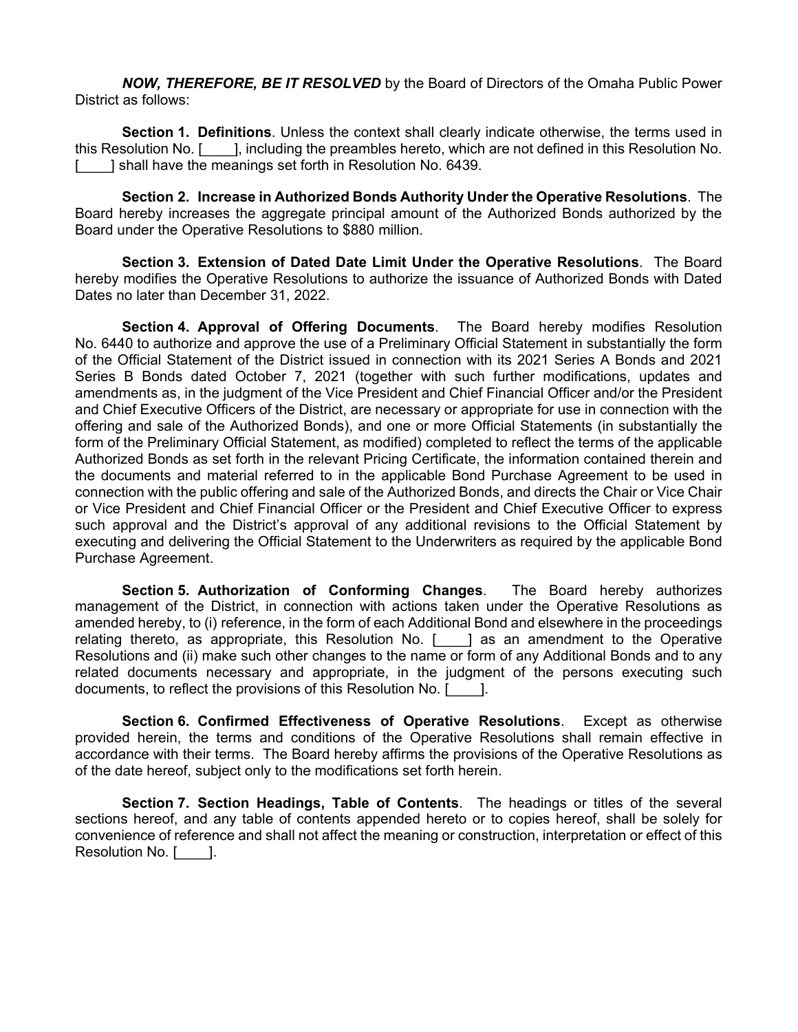*NOW, THEREFORE, BE IT RESOLVED* by the Board of Directors of the Omaha Public Power District as follows:

**Section 1. Definitions**. Unless the context shall clearly indicate otherwise, the terms used in this Resolution No. [\_\_\_\_], including the preambles hereto, which are not defined in this Resolution No. [\_\_\_\_] shall have the meanings set forth in Resolution No. 6439.

**Section 2. Increase in Authorized Bonds Authority Under the Operative Resolutions**. The Board hereby increases the aggregate principal amount of the Authorized Bonds authorized by the Board under the Operative Resolutions to \$880 million.

**Section 3. Extension of Dated Date Limit Under the Operative Resolutions**. The Board hereby modifies the Operative Resolutions to authorize the issuance of Authorized Bonds with Dated Dates no later than December 31, 2022.

**Section 4. Approval of Offering Documents**. The Board hereby modifies Resolution No. 6440 to authorize and approve the use of a Preliminary Official Statement in substantially the form of the Official Statement of the District issued in connection with its 2021 Series A Bonds and 2021 Series B Bonds dated October 7, 2021 (together with such further modifications, updates and amendments as, in the judgment of the Vice President and Chief Financial Officer and/or the President and Chief Executive Officers of the District, are necessary or appropriate for use in connection with the offering and sale of the Authorized Bonds), and one or more Official Statements (in substantially the form of the Preliminary Official Statement, as modified) completed to reflect the terms of the applicable Authorized Bonds as set forth in the relevant Pricing Certificate, the information contained therein and the documents and material referred to in the applicable Bond Purchase Agreement to be used in connection with the public offering and sale of the Authorized Bonds, and directs the Chair or Vice Chair or Vice President and Chief Financial Officer or the President and Chief Executive Officer to express such approval and the District's approval of any additional revisions to the Official Statement by executing and delivering the Official Statement to the Underwriters as required by the applicable Bond Purchase Agreement.

**Section 5. Authorization of Conforming Changes**. The Board hereby authorizes management of the District, in connection with actions taken under the Operative Resolutions as amended hereby, to (i) reference, in the form of each Additional Bond and elsewhere in the proceedings relating thereto, as appropriate, this Resolution No. [\_\_\_\_] as an amendment to the Operative Resolutions and (ii) make such other changes to the name or form of any Additional Bonds and to any related documents necessary and appropriate, in the judgment of the persons executing such documents, to reflect the provisions of this Resolution No. [\_\_\_\_].

**Section 6. Confirmed Effectiveness of Operative Resolutions**. Except as otherwise provided herein, the terms and conditions of the Operative Resolutions shall remain effective in accordance with their terms. The Board hereby affirms the provisions of the Operative Resolutions as of the date hereof, subject only to the modifications set forth herein.

**Section 7. Section Headings, Table of Contents**. The headings or titles of the several sections hereof, and any table of contents appended hereto or to copies hereof, shall be solely for convenience of reference and shall not affect the meaning or construction, interpretation or effect of this Resolution No. [......].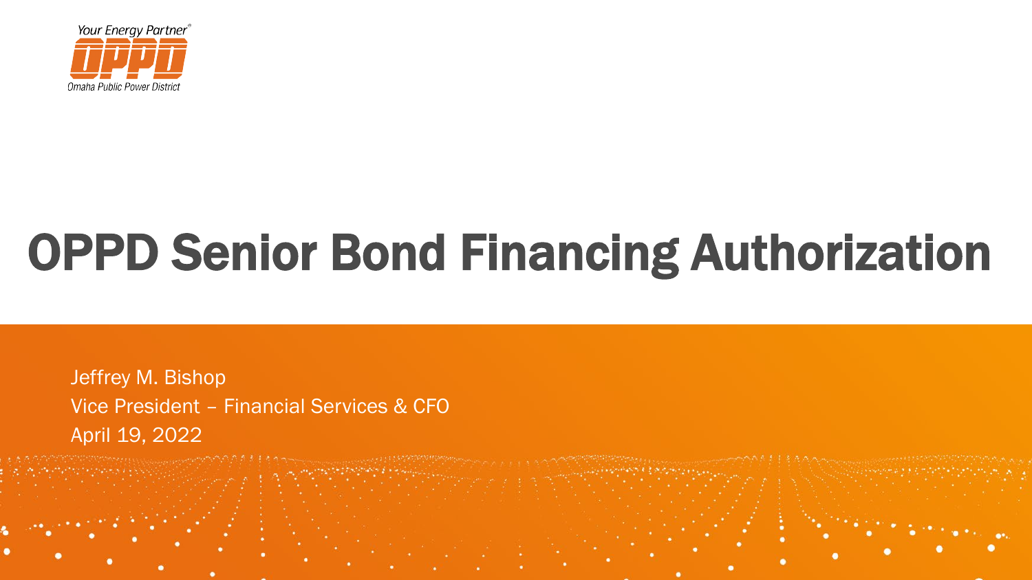

# OPPD Senior Bond Financing Authorization

Jeffrey M. Bishop Vice President – Financial Services & CFO April 19, 2022

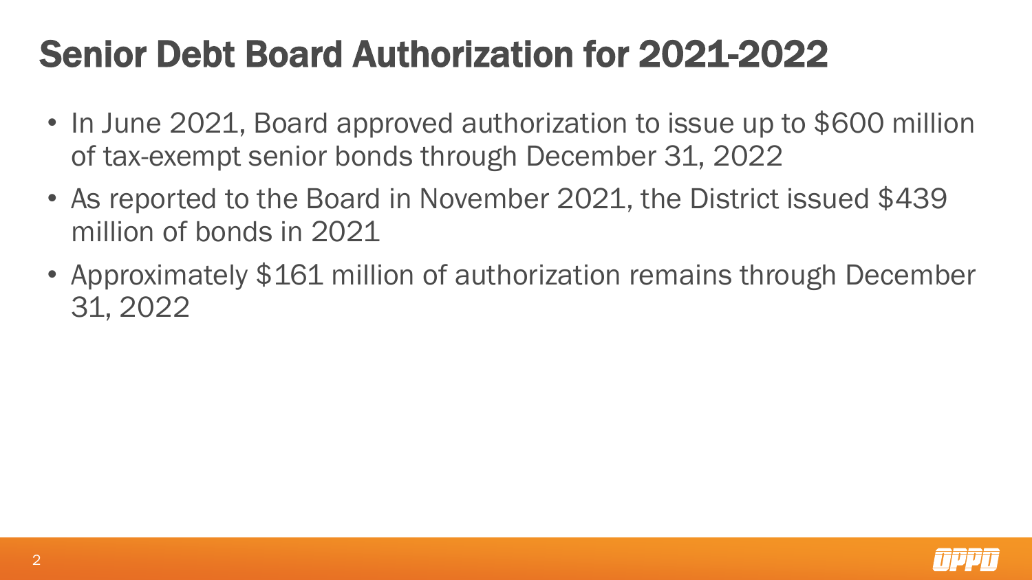### Senior Debt Board Authorization for 2021-2022

- In June 2021, Board approved authorization to issue up to \$600 million of tax-exempt senior bonds through December 31, 2022
- As reported to the Board in November 2021, the District issued \$439 million of bonds in 2021
- Approximately \$161 million of authorization remains through December 31, 2022

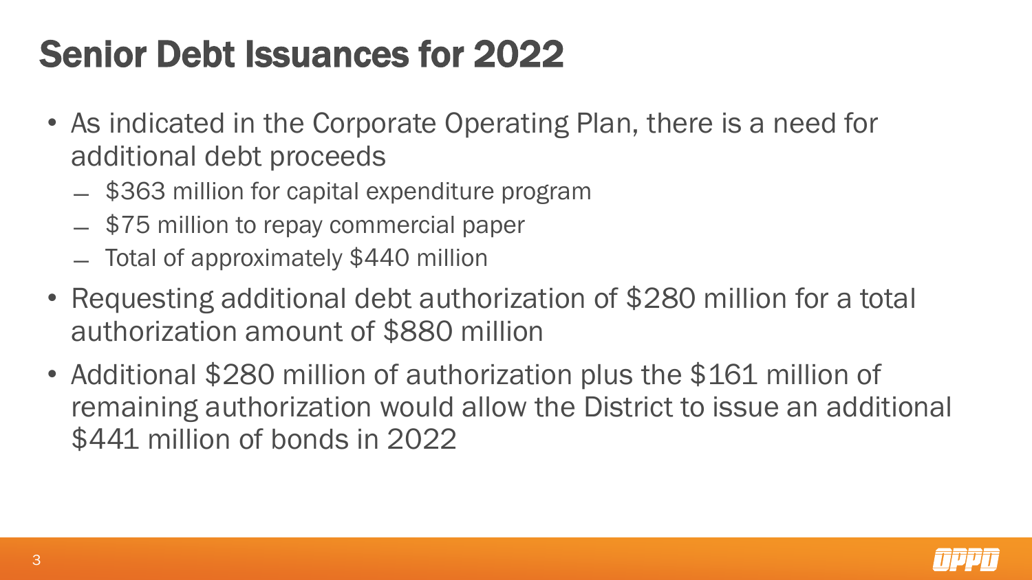## Senior Debt Issuances for 2022

- As indicated in the Corporate Operating Plan, there is a need for additional debt proceeds
	- ̶ \$363 million for capital expenditure program
	- ̶ \$75 million to repay commercial paper
	- ̶ Total of approximately \$440 million
- Requesting additional debt authorization of \$280 million for a total authorization amount of \$880 million
- Additional \$280 million of authorization plus the \$161 million of remaining authorization would allow the District to issue an additional \$441 million of bonds in 2022